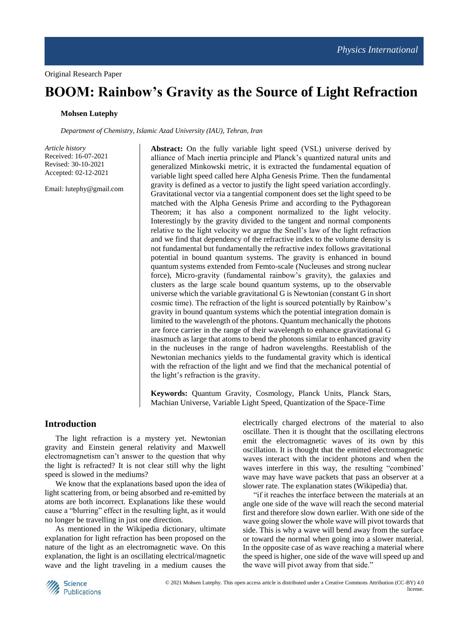# **BOOM: Rainbow's Gravity as the Source of Light Refraction**

## **Mohsen Lutephy**

*Department of Chemistry, Islamic Azad University (IAU), Tehran, Iran*

*Article history* Received: 16-07-2021 Revised: 30-10-2021 Accepted: 02-12-2021

Email: lutephy@gmail.com

**Abstract:** On the fully variable light speed (VSL) universe derived by alliance of Mach inertia principle and Planck's quantized natural units and generalized Minkowski metric, it is extracted the fundamental equation of variable light speed called here Alpha Genesis Prime. Then the fundamental gravity is defined as a vector to justify the light speed variation accordingly. Gravitational vector via a tangential component does set the light speed to be matched with the Alpha Genesis Prime and according to the Pythagorean Theorem; it has also a component normalized to the light velocity. Interestingly by the gravity divided to the tangent and normal components relative to the light velocity we argue the Snell's law of the light refraction and we find that dependency of the refractive index to the volume density is not fundamental but fundamentally the refractive index follows gravitational potential in bound quantum systems. The gravity is enhanced in bound quantum systems extended from Femto-scale (Nucleuses and strong nuclear force), Micro-gravity (fundamental rainbow's gravity), the galaxies and clusters as the large scale bound quantum systems, up to the observable universe which the variable gravitational G is Newtonian (constant G in short cosmic time). The refraction of the light is sourced potentially by Rainbow's gravity in bound quantum systems which the potential integration domain is limited to the wavelength of the photons. Quantum mechanically the photons are force carrier in the range of their wavelength to enhance gravitational G inasmuch as large that atoms to bend the photons similar to enhanced gravity in the nucleuses in the range of hadron wavelengths. Reestablish of the Newtonian mechanics yields to the fundamental gravity which is identical with the refraction of the light and we find that the mechanical potential of the light's refraction is the gravity.

**Keywords:** Quantum Gravity, Cosmology, Planck Units, Planck Stars, Machian Universe, Variable Light Speed, Quantization of the Space-Time

## **Introduction**

The light refraction is a mystery yet. Newtonian gravity and Einstein general relativity and Maxwell electromagnetism can't answer to the question that why the light is refracted? It is not clear still why the light speed is slowed in the mediums?

We know that the explanations based upon the idea of light scattering from, or being absorbed and re-emitted by atoms are both incorrect. Explanations like these would cause a "blurring" effect in the resulting light, as it would no longer be travelling in just one direction.

As mentioned in the Wikipedia dictionary, ultimate explanation for light refraction has been proposed on the nature of the light as an electromagnetic wave. On this explanation, the light is an oscillating electrical/magnetic wave and the light traveling in a medium causes the electrically charged electrons of the material to also oscillate. Then it is thought that the oscillating electrons emit the electromagnetic waves of its own by this oscillation. It is thought that the emitted electromagnetic waves interact with the incident photons and when the waves interfere in this way, the resulting "combined' wave may have wave packets that pass an observer at a slower rate. The explanation states (Wikipedia) that.

"if it reaches the interface between the materials at an angle one side of the wave will reach the second material first and therefore slow down earlier. With one side of the wave going slower the whole wave will pivot towards that side. This is why a wave will bend away from the surface or toward the normal when going into a slower material. In the opposite case of as wave reaching a material where the speed is higher, one side of the wave will speed up and the wave will pivot away from that side."

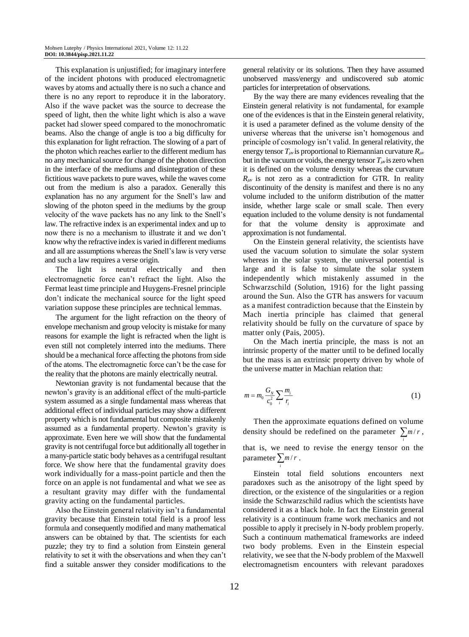This explanation is unjustified; for imaginary interfere of the incident photons with produced electromagnetic waves by atoms and actually there is no such a chance and there is no any report to reproduce it in the laboratory. Also if the wave packet was the source to decrease the speed of light, then the white light which is also a wave packet had slower speed compared to the monochromatic beams. Also the change of angle is too a big difficulty for this explanation for light refraction. The slowing of a part of the photon which reaches earlier to the different medium has no any mechanical source for change of the photon direction in the interface of the mediums and disintegration of these fictitious wave packets to pure waves, while the waves come out from the medium is also a paradox. Generally this explanation has no any argument for the Snell's law and slowing of the photon speed in the mediums by the group velocity of the wave packets has no any link to the Snell's law. The refractive index is an experimental index and up to now there is no a mechanism to illustrate it and we don't know why the refractive index is varied in different mediums and all are assumptions whereas the Snell's law is very verse and such a law requires a verse origin.

The light is neutral electrically and then electromagnetic force can't refract the light. Also the Fermat least time principle and Huygens-Fresnel principle don't indicate the mechanical source for the light speed variation suppose these principles are technical lemmas.

The argument for the light refraction on the theory of envelope mechanism and group velocity is mistake for many reasons for example the light is refracted when the light is even still not completely interred into the mediums. There should be a mechanical force affecting the photons from side of the atoms. The electromagnetic force can't be the case for the reality that the photons are mainly electrically neutral.

Newtonian gravity is not fundamental because that the newton's gravity is an additional effect of the multi-particle system assumed as a single fundamental mass whereas that additional effect of individual particles may show a different property which is not fundamental but composite mistakenly assumed as a fundamental property. Newton's gravity is approximate. Even here we will show that the fundamental gravity is not centrifugal force but additionally all together in a many-particle static body behaves as a centrifugal resultant force. We show here that the fundamental gravity does work individually for a mass-point particle and then the force on an apple is not fundamental and what we see as a resultant gravity may differ with the fundamental gravity acting on the fundamental particles.

Also the Einstein general relativity isn't a fundamental gravity because that Einstein total field is a proof less formula and consequently modified and many mathematical answers can be obtained by that. The scientists for each puzzle; they try to find a solution from Einstein general relativity to set it with the observations and when they can't find a suitable answer they consider modifications to the general relativity or its solutions. Then they have assumed unobserved mass/energy and undiscovered sub atomic particles for interpretation of observations.

By the way there are many evidences revealing that the Einstein general relativity is not fundamental, for example one of the evidences is that in the Einstein general relativity, it is used a parameter defined as the volume density of the universe whereas that the universe isn't homogenous and principle of cosmology isn't valid. In general relativity, the energy tensor  $T_{\mu\nu}$  is proportional to Riemannian curvature  $R_{\mu\nu}$ but in the vacuum or voids, the energy tensor  $T_{\mu\nu}$  is zero when it is defined on the volume density whereas the curvature  $R_{\mu\nu}$  is not zero as a contradiction for GTR. In reality discontinuity of the density is manifest and there is no any volume included to the uniform distribution of the matter inside, whether large scale or small scale. Then every equation included to the volume density is not fundamental for that the volume density is approximate and approximation is not fundamental.

On the Einstein general relativity, the scientists have used the vacuum solution to simulate the solar system whereas in the solar system, the universal potential is large and it is false to simulate the solar system independently which mistakenly assumed in the Schwarzschild (Solution, 1916) for the light passing around the Sun. Also the GTR has answers for vacuum as a manifest contradiction because that the Einstein by Mach inertia principle has claimed that general relativity should be fully on the curvature of space by matter only (Pais, 2005).

On the Mach inertia principle, the mass is not an intrinsic property of the matter until to be defined locally but the mass is an extrinsic property driven by whole of the universe matter in Machian relation that:

$$
m = m_0 \frac{G_N}{c_0^2} \sum_i \frac{m_i}{r_i}
$$
 (1)

Then the approximate equations defined on volume density should be redefined on the parameter  $\sum_{m}$  *m r* , *i* that is, we need to revise the energy tensor on the parameter  $\sum_{m}$  / *r*.

*i*

Einstein total field solutions encounters next paradoxes such as the anisotropy of the light speed by direction, or the existence of the singularities or a region inside the Schwarzschild radius which the scientists have considered it as a black hole. In fact the Einstein general relativity is a continuum frame work mechanics and not possible to apply it precisely in N-body problem properly. Such a continuum mathematical frameworks are indeed two body problems. Even in the Einstein especial relativity, we see that the N-body problem of the Maxwell electromagnetism encounters with relevant paradoxes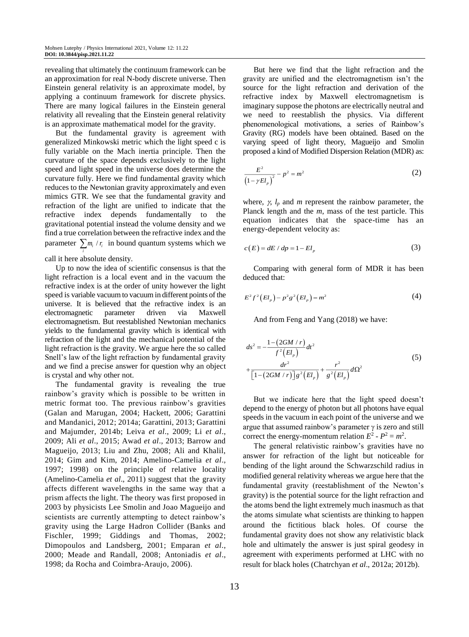revealing that ultimately the continuum framework can be an approximation for real N-body discrete universe. Then Einstein general relativity is an approximate model, by applying a continuum framework for discrete physics. There are many logical failures in the Einstein general relativity all revealing that the Einstein general relativity is an approximate mathematical model for the gravity.

But the fundamental gravity is agreement with generalized Minkowski metric which the light speed c is fully variable on the Mach inertia principle. Then the curvature of the space depends exclusively to the light speed and light speed in the universe does determine the curvature fully. Here we find fundamental gravity which reduces to the Newtonian gravity approximately and even mimics GTR. We see that the fundamental gravity and refraction of the light are unified to indicate that the refractive index depends fundamentally to the gravitational potential instead the volume density and we find a true correlation between the refractive index and the parameter  $\sum_{i} m_i / r_i$  in bound quantum systems which we *i* call it here absolute density.

Up to now the idea of scientific consensus is that the light refraction is a local event and in the vacuum the refractive index is at the order of unity however the light speed is variable vacuum to vacuum in different points of the universe. It is believed that the refractive index is an electromagnetic parameter driven via Maxwell electromagnetism. But reestablished Newtonian mechanics yields to the fundamental gravity which is identical with refraction of the light and the mechanical potential of the light refraction is the gravity. We argue here the so called Snell's law of the light refraction by fundamental gravity and we find a precise answer for question why an object is crystal and why other not.

The fundamental gravity is revealing the true rainbow's gravity which is possible to be written in metric format too. The previous rainbow's gravities (Galan and Marugan, 2004; Hackett, 2006; Garattini and Mandanici, 2012; 2014a; Garattini, 2013; Garattini and Majumder, 2014b; Leiva *et al*., 2009; Li *et al*., 2009; Ali *et al*., 2015; Awad *et al*., 2013; Barrow and Magueijo, 2013; Liu and Zhu, 2008; Ali and Khalil, 2014; Gim and Kim, 2014; Amelino-Camelia *et al*., 1997; 1998) on the principle of relative locality (Amelino-Camelia *et al*., 2011) suggest that the gravity affects different wavelengths in the same way that a prism affects the light. The theory was first proposed in 2003 by physicists Lee Smolin and Joao Magueijo and scientists are currently attempting to detect rainbow's gravity using the Large Hadron Collider (Banks and Fischler, 1999; Giddings and Thomas, 2002; Dimopoulos and Landsberg, 2001; Emparan *et al*., 2000; Meade and Randall, 2008; Antoniadis *et al*., 1998; da Rocha and Coimbra-Araujo, 2006).

But here we find that the light refraction and the gravity are unified and the electromagnetism isn't the source for the light refraction and derivation of the refractive index by Maxwell electromagnetism is imaginary suppose the photons are electrically neutral and we need to reestablish the physics. Via different phenomenological motivations, a series of Rainbow's Gravity (RG) models have been obtained. Based on the varying speed of light theory, Magueijo and Smolin proposed a kind of Modified Dispersion Relation (MDR) as:

$$
\frac{E^2}{(1 - \gamma E l_p)^2} - p^2 = m^2
$$
 (2)

where,  $\gamma$ ,  $l_p$  and  $m$  represent the rainbow parameter, the Planck length and the *m*, mass of the test particle. This equation indicates that the space-time has an energy-dependent velocity as:

$$
c(E) = dE / dp = 1 - Elp
$$
\n(3)

Comparing with general form of MDR it has been deduced that:

$$
E^2 f^2 (El_p) - p^2 g^2 (El_p) = m^2
$$
 (4)

And from Feng and Yang (2018) we have:

$$
ds^{2} = -\frac{1 - (2GM/r)}{f^{2}(El_{p})}dt^{2}
$$
  
+ 
$$
\frac{dr^{2}}{[1 - (2GM/r)]g^{2}(El_{p})} + \frac{r^{2}}{g^{2}(El_{p})}d\Omega^{2}
$$
(5)

But we indicate here that the light speed doesn't depend to the energy of photon but all photons have equal speeds in the vacuum in each point of the universe and we argue that assumed rainbow's parameter  $\gamma$  is zero and still correct the energy-momentum relation  $E^2 - P^2 = m^2$ .

The general relativistic rainbow's gravities have no answer for refraction of the light but noticeable for bending of the light around the Schwarzschild radius in modified general relativity whereas we argue here that the fundamental gravity (reestablishment of the Newton's gravity) is the potential source for the light refraction and the atoms bend the light extremely much inasmuch as that the atoms simulate what scientists are thinking to happen around the fictitious black holes. Of course the fundamental gravity does not show any relativistic black hole and ultimately the answer is just spiral geodesy in agreement with experiments performed at LHC with no result for black holes (Chatrchyan *et al*., 2012a; 2012b).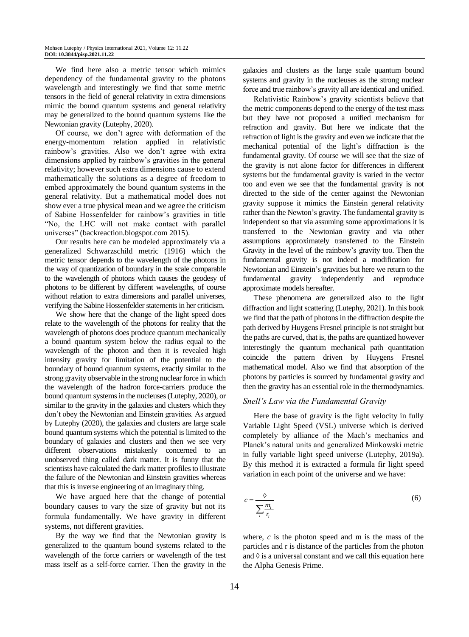We find here also a metric tensor which mimics dependency of the fundamental gravity to the photons wavelength and interestingly we find that some metric tensors in the field of general relativity in extra dimensions mimic the bound quantum systems and general relativity may be generalized to the bound quantum systems like the Newtonian gravity (Lutephy, 2020).

Of course, we don't agree with deformation of the energy-momentum relation applied in relativistic rainbow's gravities. Also we don't agree with extra dimensions applied by rainbow's gravities in the general relativity; however such extra dimensions cause to extend mathematically the solutions as a degree of freedom to embed approximately the bound quantum systems in the general relativity. But a mathematical model does not show ever a true physical mean and we agree the criticism of Sabine Hossenfelder for rainbow's gravities in title "No, the LHC will not make contact with parallel universes" (backreaction.blogspot.com 2015).

Our results here can be modeled approximately via a generalized Schwarzschild metric (1916) which the metric tensor depends to the wavelength of the photons in the way of quantization of boundary in the scale comparable to the wavelength of photons which causes the geodesy of photons to be different by different wavelengths, of course without relation to extra dimensions and parallel universes, verifying the Sabine Hossenfelder statements in her criticism.

We show here that the change of the light speed does relate to the wavelength of the photons for reality that the wavelength of photons does produce quantum mechanically a bound quantum system below the radius equal to the wavelength of the photon and then it is revealed high intensity gravity for limitation of the potential to the boundary of bound quantum systems, exactly similar to the strong gravity observable in the strong nuclear force in which the wavelength of the hadron force-carriers produce the bound quantum systems in the nucleuses (Lutephy, 2020), or similar to the gravity in the galaxies and clusters which they don't obey the Newtonian and Einstein gravities. As argued by Lutephy (2020), the galaxies and clusters are large scale bound quantum systems which the potential is limited to the boundary of galaxies and clusters and then we see very different observations mistakenly concerned to an unobserved thing called dark matter. It is funny that the scientists have calculated the dark matter profiles to illustrate the failure of the Newtonian and Einstein gravities whereas that this is inverse engineering of an imaginary thing.

We have argued here that the change of potential boundary causes to vary the size of gravity but not its formula fundamentally. We have gravity in different systems, not different gravities.

By the way we find that the Newtonian gravity is generalized to the quantum bound systems related to the wavelength of the force carriers or wavelength of the test mass itself as a self-force carrier. Then the gravity in the galaxies and clusters as the large scale quantum bound systems and gravity in the nucleuses as the strong nuclear force and true rainbow's gravity all are identical and unified.

Relativistic Rainbow's gravity scientists believe that the metric components depend to the energy of the test mass but they have not proposed a unified mechanism for refraction and gravity. But here we indicate that the refraction of light is the gravity and even we indicate that the mechanical potential of the light's diffraction is the fundamental gravity. Of course we will see that the size of the gravity is not alone factor for differences in different systems but the fundamental gravity is varied in the vector too and even we see that the fundamental gravity is not directed to the side of the center against the Newtonian gravity suppose it mimics the Einstein general relativity rather than the Newton's gravity. The fundamental gravity is independent so that via assuming some approximations it is transferred to the Newtonian gravity and via other assumptions approximately transferred to the Einstein Gravity in the level of the rainbow's gravity too. Then the fundamental gravity is not indeed a modification for Newtonian and Einstein's gravities but here we return to the fundamental gravity independently and reproduce approximate models hereafter.

These phenomena are generalized also to the light diffraction and light scattering (Lutephy, 2021). In this book we find that the path of photons in the diffraction despite the path derived by Huygens Fresnel principle is not straight but the paths are curved, that is, the paths are quantized however interestingly the quantum mechanical path quantitation coincide the pattern driven by Huygens Fresnel mathematical model. Also we find that absorption of the photons by particles is sourced by fundamental gravity and then the gravity has an essential role in the thermodynamics.

### *Snell's Law via the Fundamental Gravity*

Here the base of gravity is the light velocity in fully Variable Light Speed (VSL) universe which is derived completely by alliance of the Mach's mechanics and Planck's natural units and generalized Minkowski metric in fully variable light speed universe (Lutephy, 2019a). By this method it is extracted a formula fir light speed variation in each point of the universe and we have:

$$
c = \frac{\delta}{\sum_{i} \frac{m_i}{r_i}}\tag{6}
$$

where, *c* is the photon speed and m is the mass of the particles and r is distance of the particles from the photon and  $\Diamond$  is a universal constant and we call this equation here the Alpha Genesis Prime.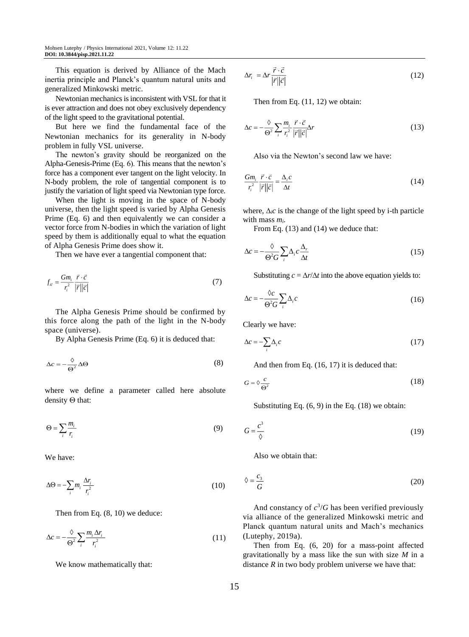This equation is derived by Alliance of the Mach inertia principle and Planck's quantum natural units and generalized Minkowski metric.

Newtonian mechanics is inconsistent with VSL for that it is ever attraction and does not obey exclusively dependency of the light speed to the gravitational potential.

But here we find the fundamental face of the Newtonian mechanics for its generality in N-body problem in fully VSL universe.

The newton's gravity should be reorganized on the Alpha-Genesis-Prime (Eq. 6). This means that the newton's force has a component ever tangent on the light velocity. In N-body problem, the role of tangential component is to justify the variation of light speed via Newtonian type force.

When the light is moving in the space of N-body universe, then the light speed is varied by Alpha Genesis Prime (Eq. 6) and then equivalently we can consider a vector force from N-bodies in which the variation of light speed by them is additionally equal to what the equation of Alpha Genesis Prime does show it.

Then we have ever a tangential component that:

$$
f_{i\bar{c}} = \frac{Gm_i}{r_i^2} \frac{\vec{r} \cdot \vec{c}}{|\vec{r}||\vec{c}|} \tag{7}
$$

The Alpha Genesis Prime should be confirmed by this force along the path of the light in the N-body space (universe).

By Alpha Genesis Prime (Eq. 6) it is deduced that:

$$
\Delta c = -\frac{\Diamond}{\Theta^2} \Delta \Theta \tag{8}
$$

where we define a parameter called here absolute density  $\Theta$  that:

$$
\Theta = \sum_{i} \frac{m_i}{r_i} \tag{9}
$$

We have:

$$
\Delta\Theta = -\sum_{i} m_i \frac{\Delta r_i}{r_i^2} \tag{10}
$$

Then from Eq. (8, 10) we deduce:

$$
\Delta c = -\frac{\delta}{\Theta^2} \sum_i \frac{m_i \Delta r_i}{r_i^2} \tag{11}
$$

We know mathematically that:

$$
\Delta r_i = \Delta r \frac{\vec{r} \cdot \vec{c}}{|\vec{r}||\vec{c}|} \tag{12}
$$

Then from Eq. (11, 12) we obtain:

$$
\Delta c = -\frac{\delta}{\Theta^2} \sum_{i} \frac{m_i}{r_i^2} \frac{\vec{r} \cdot \vec{c}}{|\vec{r}||\vec{c}|} \Delta r \tag{13}
$$

Also via the Newton's second law we have:

$$
\frac{Gm_i}{r_i^2} \frac{\vec{r} \cdot \vec{c}}{|\vec{r}||\vec{c}|} = \frac{\Delta_i c}{\Delta t}
$$
\n(14)

where,  $\Delta_i c$  is the change of the light speed by i-th particle with mass *mi*.

From Eq. (13) and (14) we deduce that:

$$
\Delta c = -\frac{\delta}{\Theta^2 G} \sum_{i} \Delta_i c \frac{\Delta_r}{\Delta t}
$$
\n(15)

Substituting  $c = \Delta r / \Delta t$  into the above equation yields to:

$$
\Delta c = -\frac{\delta c}{\Theta^2 G} \sum_{i} \Delta_i c \tag{16}
$$

Clearly we have:

$$
\Delta c = -\sum_{i} \Delta_i c \tag{17}
$$

And then from Eq. (16, 17) it is deduced that:

$$
G = \diamond \frac{c}{\Theta^2} \tag{18}
$$

Substituting Eq. (6, 9) in the Eq. (18) we obtain:

$$
G = \frac{c^3}{\lozenge} \tag{19}
$$

Also we obtain that:

$$
\lozenge = \frac{c_3}{G} \tag{20}
$$

And constancy of  $c^3/G$  has been verified previously via alliance of the generalized Minkowski metric and Planck quantum natural units and Mach's mechanics (Lutephy, 2019a).

Then from Eq. (6, 20) for a mass-point affected gravitationally by a mass like the sun with size *M* in a distance  $R$  in two body problem universe we have that: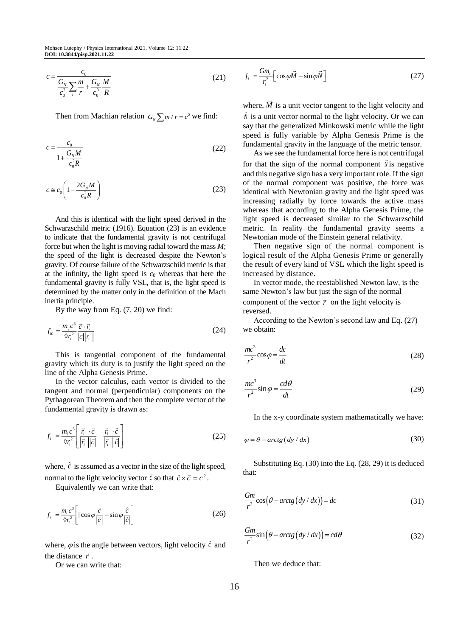$$
c = \frac{c_0}{\frac{G_N}{c_0^2} \sum_i \frac{m}{r} + \frac{G_N}{c_0^0} \frac{M}{R}}
$$
(21)

Then from Machian relation  $G_N \sum m / r = c^2$  we find:

$$
c = \frac{c_0}{1 + \frac{G_N M}{c_0^2 R}}
$$
\n
$$
\tag{22}
$$

$$
c \cong c_0 \left( 1 - \frac{2G_N M}{c_0^2 R} \right) \tag{23}
$$

And this is identical with the light speed derived in the Schwarzschild metric (1916). Equation (23) is an evidence to indicate that the fundamental gravity is not centrifugal force but when the light is moving radial toward the mass *M*; the speed of the light is decreased despite the Newton's gravity. Of course failure of the Schwarzschild metric is that at the infinity, the light speed is  $c_0$  whereas that here the fundamental gravity is fully VSL, that is, the light speed is determined by the matter only in the definition of the Mach inertia principle.

By the way from Eq. (7, 20) we find:

$$
f_{i\bar{c}} = \frac{m_j c^3}{\delta r_i^2} \frac{\vec{c} \cdot \vec{r}_i}{|c||r_i|} \tag{24}
$$

This is tangential component of the fundamental gravity which its duty is to justify the light speed on the line of the Alpha Genesis Prime.

In the vector calculus, each vector is divided to the tangent and normal (perpendicular) components on the Pythagorean Theorem and then the complete vector of the fundamental gravity is drawn as:

$$
f_i = \frac{m_i c^3}{\delta r_i^2} \left[ \frac{\vec{r}_i \cdot \vec{c}}{|\vec{r}_i||\vec{c}|} - \frac{\vec{r}_i \cdot \hat{c}}{|\vec{r}_i||\hat{c}|} \right]
$$
(25)

where,  $\hat{c}$  is assumed as a vector in the size of the light speed, normal to the light velocity vector  $\vec{c}$  so that  $\hat{c} \times \vec{c} = c^2$ .

Equivalently we can write that:

$$
f_i = \frac{m_i c^3}{\delta r_i^2} \left[ |\cos \varphi \frac{\vec{c}}{|\vec{c}|} - \sin \varphi \frac{\hat{c}}{|\vec{c}|} \right]
$$
 (26)

where,  $\varphi$  is the angle between vectors, light velocity  $\vec{c}$  and the distance  $\vec{r}$ .

Or we can write that:

$$
f_i = \frac{Gm_i}{r_i^2} \left[ \cos \varphi \vec{M} - \sin \varphi \vec{N} \right]
$$
 (27)

where,  $M$  is a unit vector tangent to the light velocity and  $\tilde{N}$  is a unit vector normal to the light velocity. Or we can say that the generalized Minkowski metric while the light speed is fully variable by Alpha Genesis Prime is the fundamental gravity in the language of the metric tensor.

As we see the fundamental force here is not centrifugal for that the sign of the normal component  $\hat{N}$  is negative and this negative sign has a very important role. If the sign of the normal component was positive, the force was identical with Newtonian gravity and the light speed was increasing radially by force towards the active mass whereas that according to the Alpha Genesis Prime, the light speed is decreased similar to the Schwarzschild metric. In reality the fundamental gravity seems a Newtonian mode of the Einstein general relativity.

Then negative sign of the normal component is logical result of the Alpha Genesis Prime or generally the result of every kind of VSL which the light speed is increased by distance.

In vector mode, the reestablished Newton law, is the same Newton's law but just the sign of the normal component of the vector  $\vec{r}$  on the light velocity is reversed.

According to the Newton's second law and Eq. (27) we obtain:

$$
\frac{mc^3}{r^2}\cos\varphi = \frac{dc}{dt}
$$
 (28)

$$
\frac{mc^3}{r^2}\sin\varphi = \frac{cd\theta}{dt}
$$
 (29)

In the x-y coordinate system mathematically we have:

$$
\varphi = \theta - \arctg \left( \frac{dy}{dx} \right) \tag{30}
$$

Substituting Eq. (30) into the Eq. (28, 29) it is deduced that:

$$
\frac{Gm}{r^2}\cos\left(\theta - \arctg\left(\frac{dy}{dx}\right)\right) = dc\tag{31}
$$

$$
\frac{Gm}{r^2}\sin\left(\theta - \arctg\left(\frac{dy}{dx}\right)\right) = cd\theta\tag{32}
$$

Then we deduce that: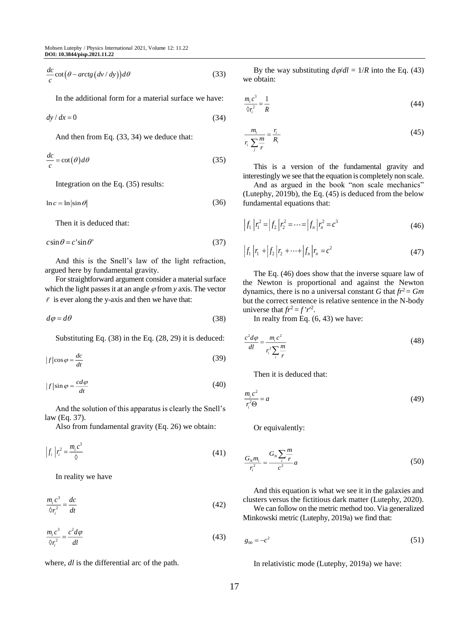$$
\frac{dc}{c}\cot\big(\theta - arctg\big(dv/dy\big)\big)d\theta\tag{33}
$$

In the additional form for a material surface we have:

 $dy/dx = 0$ (34)

And then from Eq. (33, 34) we deduce that:

$$
\frac{dc}{c} = \cot(\theta)d\theta\tag{35}
$$

Integration on the Eq. (35) results:

$$
\ln c = \ln|\sin \theta| \tag{36}
$$

Then it is deduced that:

$$
c\sin\theta = c'\sin\theta' \tag{37}
$$

And this is the Snell's law of the light refraction, argued here by fundamental gravity.

For straightforward argument consider a material surface which the light passes it at an angle  $\varphi$  from *y* axis. The vector  $\vec{r}$  is ever along the y-axis and then we have that:

$$
d\varphi = d\theta \tag{38}
$$

Substituting Eq. (38) in the Eq. (28, 29) it is deduced:

$$
|f|\cos\varphi = \frac{dc}{dt} \tag{39}
$$

$$
|f|\sin\varphi = \frac{cd\varphi}{dt} \tag{40}
$$

And the solution of this apparatus is clearly the Snell's law (Eq. 37).

Also from fundamental gravity (Eq. 26) we obtain:

$$
\left|f_i\right| r_i^2 = \frac{m_i c^3}{\Diamond} \tag{41}
$$

In reality we have

$$
\frac{m_i c^3}{\delta r_i^2} = \frac{dc}{dt} \tag{42}
$$

$$
\frac{m_i c^3}{\delta r_i^2} = \frac{c^2 d\varphi}{dl} \tag{43}
$$

where, *dl* is the differential arc of the path.

By the way substituting  $d\varphi/dl = 1/R$  into the Eq. (43) we obtain:

$$
\frac{m_i c^3}{\delta r_i^2} = \frac{1}{R} \tag{44}
$$

$$
\frac{m_i}{r_i} \sum_{j} \frac{m}{r} = \frac{r_i}{R_i} \tag{45}
$$

This is a version of the fundamental gravity and interestingly we see that the equation is completely non scale.

And as argued in the book "non scale mechanics" (Lutephy, 2019b), the Eq. (45) is deduced from the below fundamental equations that:

$$
\left|f_1\right| r_1^2 = \left|f_2\right| r_2^2 = \dots = \left|f_n\right| r_n^2 = c^3 \tag{46}
$$

$$
\left|f_1\right|r_1 + \left|f_2\right|r_2 + \dots + \left|f_n\right|r_n = c^2\tag{47}
$$

The Eq. (46) does show that the inverse square law of the Newton is proportional and against the Newton dynamics, there is no a universal constant *G* that  $fr^2 = Gm$ but the correct sentence is relative sentence in the N-body universe that  $fr^2 = f'r^2$ .

In realty from Eq. (6, 43) we have:

$$
\frac{c^2 d\varphi}{dl} = \frac{m_i c^2}{r_i^2 \sum_{i} \frac{m}{r}}
$$
(48)

Then it is deduced that:

$$
\frac{m_i c^2}{r_i^2 \Theta} = a \tag{49}
$$

Or equivalently:

$$
\frac{G_N m_i}{r_i^2} = \frac{G_N \sum_i \frac{m}{r}}{c^2} a \tag{50}
$$

And this equation is what we see it in the galaxies and clusters versus the fictitious dark matter (Lutephy, 2020).

We can follow on the metric method too. Via generalized Minkowski metric (Lutephy, 2019a) we find that:

$$
g_{00} = -c^2 \tag{51}
$$

In relativistic mode (Lutephy, 2019a) we have: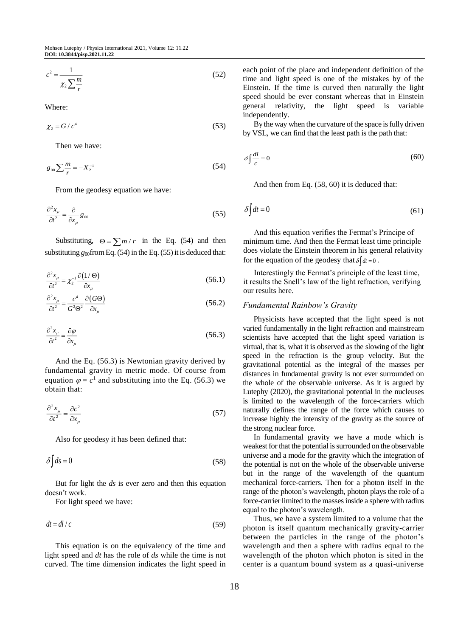$$
c^2 = \frac{1}{\chi_2 \sum_{r}^{m}}
$$
 (52)

Where:

$$
\chi_2 = G / c^4 \tag{53}
$$

Then we have:

$$
g_{00} \sum_{r} \frac{m}{r} = -X_2^{-1} \tag{54}
$$

From the geodesy equation we have:

$$
\frac{\partial^2 x_\mu}{\partial t^2} = \frac{\partial}{\partial x_\mu} g_{00}
$$
 (55)

Substituting,  $\Theta = \sum_{r} m/r$  in the Eq. (54) and then substituting  $g_{00}$  from Eq. (54) in the Eq. (55) it is deduced that:

$$
\frac{\partial^2 x_\mu}{\partial t^2} = \chi_2^{-1} \frac{\partial (1/\Theta)}{\partial x_\mu}
$$
\n(56.1)

$$
\frac{\partial^2 x_{\mu}}{\partial t^2} = \frac{c^4}{G^2 \Theta^2} \frac{\partial (G\Theta)}{\partial x_{\mu}}
$$
(56.2)

$$
\frac{\partial^2 x_\mu}{\partial t^2} = \frac{\partial \varphi}{\partial x_\mu} \tag{56.3}
$$

And the Eq. (56.3) is Newtonian gravity derived by fundamental gravity in metric mode. Of course from equation  $\varphi = c^1$  and substituting into the Eq. (56.3) we obtain that:

$$
\frac{\partial^2 x_\mu}{\partial t^2} = \frac{\partial c^2}{\partial x_\mu} \tag{57}
$$

Also for geodesy it has been defined that:

$$
\delta \int ds = 0 \tag{58}
$$

But for light the *ds* is ever zero and then this equation doesn't work.

For light speed we have:

$$
dt = dl / c \tag{59}
$$

This equation is on the equivalency of the time and light speed and *dt* has the role of *ds* while the time is not curved. The time dimension indicates the light speed in each point of the place and independent definition of the time and light speed is one of the mistakes by of the Einstein. If the time is curved then naturally the light speed should be ever constant whereas that in Einstein general relativity, the light speed is variable independently.

By the way when the curvature of the space is fully driven by VSL, we can find that the least path is the path that:

$$
\delta \int \frac{dl}{c} = 0 \tag{60}
$$

And then from Eq. (58, 60) it is deduced that:

$$
\delta \int dt = 0 \tag{61}
$$

And this equation verifies the Fermat's Principe of minimum time. And then the Fermat least time principle does violate the Einstein theorem in his general relativity for the equation of the geodesy that  $\delta \int dt = 0$ .

Interestingly the Fermat's principle of the least time, it results the Snell's law of the light refraction, verifying our results here.

#### *Fundamental Rainbow's Gravity*

Physicists have accepted that the light speed is not varied fundamentally in the light refraction and mainstream scientists have accepted that the light speed variation is virtual, that is, what it is observed as the slowing of the light speed in the refraction is the group velocity. But the gravitational potential as the integral of the masses per distances in fundamental gravity is not ever surrounded on the whole of the observable universe. As it is argued by Lutephy (2020), the gravitational potential in the nucleuses is limited to the wavelength of the force-carriers which naturally defines the range of the force which causes to increase highly the intensity of the gravity as the source of the strong nuclear force.

In fundamental gravity we have a mode which is weakest for that the potential is surrounded on the observable universe and a mode for the gravity which the integration of the potential is not on the whole of the observable universe but in the range of the wavelength of the quantum mechanical force-carriers. Then for a photon itself in the range of the photon's wavelength, photon plays the role of a force-carrier limited to the masses inside a sphere with radius equal to the photon's wavelength.

Thus, we have a system limited to a volume that the photon is itself quantum mechanically gravity-carrier between the particles in the range of the photon's wavelength and then a sphere with radius equal to the wavelength of the photon which photon is sited in the center is a quantum bound system as a quasi-universe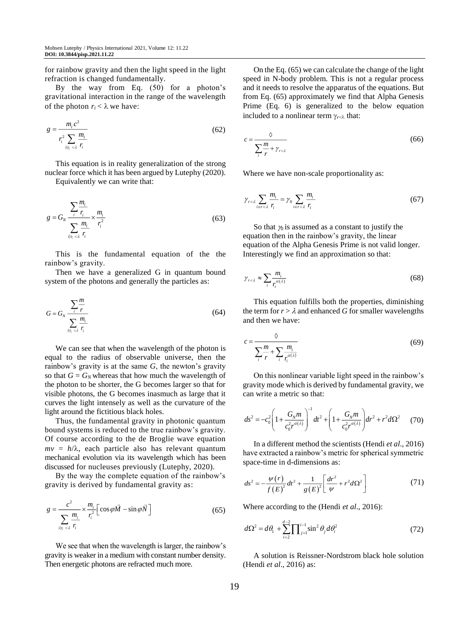for rainbow gravity and then the light speed in the light refraction is changed fundamentally.

By the way from Eq. (50) for a photon's gravitational interaction in the range of the wavelength of the photon  $r_i < \lambda$  we have:

$$
g = \frac{m_i c^2}{r_i^2 \sum_{\substack{i|n \leq \lambda}} \frac{m_i}{r_i}}\tag{62}
$$

This equation is in reality generalization of the strong nuclear force which it has been argued by Lutephy (2020).

Equivalently we can write that:

$$
g = G_N \frac{\sum_{i} \frac{m_i}{r_i}}{\sum_{i|r_i \leq \lambda} \frac{m_i}{r_i}} \times \frac{m_i}{r_i^2}
$$
 (63)

This is the fundamental equation of the the rainbow's gravity.

Then we have a generalized G in quantum bound system of the photons and generally the particles as:

$$
G = G_N \frac{\sum_{i} \frac{m}{r}}{\sum_{i} \sum_{i} \frac{m_i}{r_i}}
$$
(64)

We can see that when the wavelength of the photon is equal to the radius of observable universe, then the rainbow's gravity is at the same *G*, the newton's gravity so that  $G = G_N$  whereas that how much the wavelength of the photon to be shorter, the G becomes larger so that for visible photons, the G becomes inasmuch as large that it curves the light intensely as well as the curvature of the light around the fictitious black holes.

Thus, the fundamental gravity in photonic quantum bound systems is reduced to the true rainbow's gravity. Of course according to the de Broglie wave equation  $mv = h/\lambda$ , each particle also has relevant quantum mechanical evolution via its wavelength which has been discussed for nucleuses previously (Lutephy, 2020).

By the way the complete equation of the rainbow's gravity is derived by fundamental gravity as:

$$
g = \frac{c^2}{\sum_{i|\eta_i < \lambda} \frac{m_i}{r_i}} \times \frac{m_i}{r_i^2} \left[ \cos \varphi \vec{M} - \sin \varphi \vec{N} \right] \tag{65}
$$

We see that when the wavelength is larger, the rainbow's gravity is weaker in a medium with constant number density. Then energetic photons are refracted much more.

On the Eq. (65) we can calculate the change of the light speed in N-body problem. This is not a regular process and it needs to resolve the apparatus of the equations. But from Eq. (65) approximately we find that Alpha Genesis Prime (Eq. 6) is generalized to the below equation included to a nonlinear term  $\gamma_{r\leq \lambda}$  that:

$$
c = \frac{\delta}{\sum_{i} \frac{m}{r} + \gamma_{r < \lambda}}\tag{66}
$$

Where we have non-scale proportionality as:

$$
\gamma_{r < \lambda} \sum_{i \in r < \lambda} \frac{m_i}{r_i} = \gamma_0 \sum_{i \in r > \lambda} \frac{m_i}{r_i} \tag{67}
$$

So that  $\gamma_0$  is assumed as a constant to justify the equation then in the rainbow's gravity, the linear equation of the Alpha Genesis Prime is not valid longer. Interestingly we find an approximation so that:

$$
\gamma_{r<\lambda} \approx \sum_{i} \frac{m_i}{r_i^{\alpha(\lambda)}}
$$
\n(68)

This equation fulfills both the properties, diminishing the term for  $r > \lambda$  and enhanced G for smaller wavelengths and then we have:

$$
c = \frac{\delta}{\sum_{i} \frac{m}{r} + \sum_{i} \frac{m_i}{r_i^{a(\lambda)}}}
$$
(69)

On this nonlinear variable light speed in the rainbow's gravity mode which is derived by fundamental gravity, we can write a metric so that:

$$
ds^{2} = -c_{0}^{2} \left( 1 + \frac{G_{N}m}{c_{0}^{2}r^{\alpha(\lambda)}} \right)^{-1} dt^{2} + \left( 1 + \frac{G_{N}m}{c_{0}^{2}r^{\alpha(\lambda)}} \right) dr^{2} + r^{2} d\Omega^{2}
$$
 (70)

In a different method the scientists (Hendi *et al*., 2016) have extracted a rainbow's metric for spherical symmetric space-time in d-dimensions as:

$$
ds^{2} = -\frac{\psi(r)}{f(E)^{2}}dt^{2} + \frac{1}{g(E)^{2}} \left[ \frac{dr^{2}}{\psi} + r^{2}d\Omega^{2} \right]
$$
 (71)

Where according to the (Hendi *et al*., 2016):

$$
d\Omega^2 = d\theta_1 + \sum_{i=2}^{d-2} \prod_{j=1}^{i-1} \sin^2 \theta_j d\theta_i^2
$$
 (72)

A solution is Reissner-Nordstrom black hole solution (Hendi *et al*., 2016) as: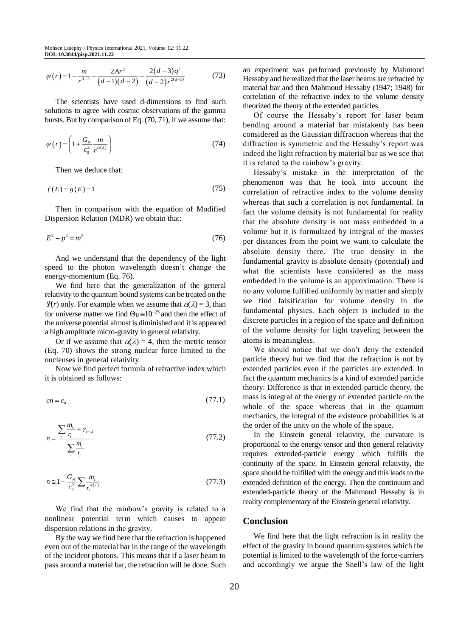$$
\psi(r) = 1 - \frac{m}{r^{d-3}} - \frac{2Ar^2}{(d-1)(d-2)} + \frac{2(d-3)q^2}{(d-2)r^{2(d-3)}}\tag{73}
$$

The scientists have used d-dimensions to find such solutions to agree with cosmic observations of the gamma bursts. But by comparison of Eq. (70, 71), if we assume that:

$$
\psi(r) = \left(1 + \frac{G_N}{c_0^2} \frac{m}{r^{\alpha(\lambda)}}\right) \tag{74}
$$

Then we deduce that:

$$
f(E) = g(E) = 1\tag{75}
$$

Then in comparison with the equation of Modified Dispersion Relation (MDR) we obtain that:

$$
E^2 - p^2 = m^2 \tag{76}
$$

And we understand that the dependency of the light speed to the photon wavelength doesn't change the energy-momentum (Eq. 76).

We find here that the generalization of the general relativity to the quantum bound systems can be treated on the  $\mathcal{Y}(r)$  only. For example when we assume that  $\alpha(\lambda) = 3$ , than for universe matter we find  $\Theta_U = 10^{-25}$  and then the effect of the universe potential almost is diminished and it is appeared a high amplitude micro-gravity in general relativity.

Or if we assume that  $\alpha(\lambda) = 4$ , then the metric tensor (Eq. 70) shows the strong nuclear force limited to the nucleuses in general relativity.

Now we find perfect formula of refractive index which it is obtained as follows:

$$
cn = c_0 \tag{77.1}
$$

$$
n = \frac{\sum_{i} \frac{m_i}{r_i} + \gamma_{r < \lambda}}{\sum_{i} \frac{m_i}{r_i}} \tag{77.2}
$$

$$
n \approx 1 + \frac{G_N}{c_0^2} \sum_{i} \frac{m_i}{r_i^{\alpha(\lambda)}}
$$
\n(77.3)

We find that the rainbow's gravity is related to a nonlinear potential term which causes to appear dispersion relations in the gravity.

By the way we find here that the refraction is happened even out of the material bar in the range of the wavelength of the incident photons. This means that if a laser beam to pass around a material bar, the refraction will be done. Such an experiment was performed previously by Mahmoud Hessaby and he realized that the laser beams are refracted by material bar and then Mahmoud Hessaby (1947; 1948) for correlation of the refractive index to the volume density theorized the theory of the extended particles.

Of course the Hessaby's report for laser beam bending around a material bar mistakenly has been considered as the Gaussian diffraction whereas that the diffraction is symmetric and the Hessaby's report was indeed the light refraction by material bar as we see that it is related to the rainbow's gravity.

Hessaby's mistake in the interpretation of the phenomenon was that he took into account the correlation of refractive index to the volume density whereas that such a correlation is not fundamental. In fact the volume density is not fundamental for reality that the absolute density is not mass embedded in a volume but it is formulized by integral of the masses per distances from the point we want to calculate the absolute density there. The true density in the fundamental gravity is absolute density (potential) and what the scientists have considered as the mass embedded in the volume is an approximation. There is no any volume fulfilled uniformly by matter and simply we find falsification for volume density in the fundamental physics. Each object is included to the discrete particles in a region of the space and definition of the volume density for light traveling between the atoms is meaningless.

We should notice that we don't deny the extended particle theory but we find that the refraction is not by extended particles even if the particles are extended. In fact the quantum mechanics is a kind of extended particle theory. Difference is that in extended-particle theory, the mass is integral of the energy of extended particle on the whole of the space whereas that in the quantum mechanics, the integral of the existence probabilities is at the order of the unity on the whole of the space.

In the Einstein general relativity, the curvature is proportional to the energy tensor and then general relativity requires extended-particle energy which fulfills the continuity of the space. In Einstein general relativity, the space should be fulfilled with the energy and this leads to the extended definition of the energy. Then the continuum and extended-particle theory of the Mahmoud Hessaby is in reality complementary of the Einstein general relativity.

## **Conclusion**

We find here that the light refraction is in reality the effect of the gravity in bound quantum systems which the potential is limited to the wavelength of the force-carriers and accordingly we argue the Snell's law of the light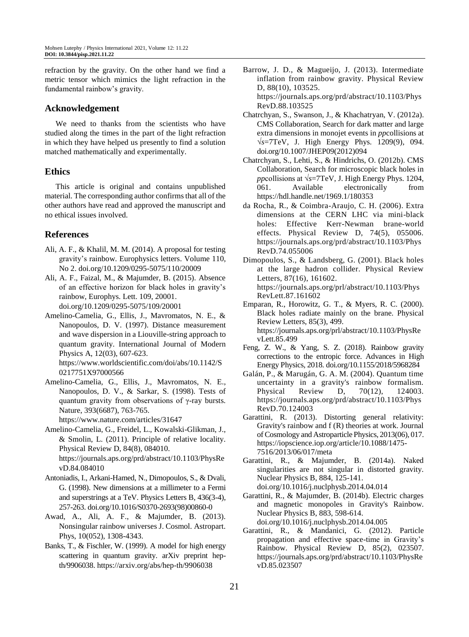refraction by the gravity. On the other hand we find a metric tensor which mimics the light refraction in the fundamental rainbow's gravity.

# **Acknowledgement**

We need to thanks from the scientists who have studied along the times in the part of the light refraction in which they have helped us presently to find a solution matched mathematically and experimentally.

# **Ethics**

This article is original and contains unpublished material. The corresponding author confirms that all of the other authors have read and approved the manuscript and no ethical issues involved.

# **References**

- Ali, A. F., & Khalil, M. M. (2014). A proposal for testing gravity's rainbow. Europhysics letters. Volume 110, No 2. doi.org/10.1209/0295-5075/110/20009
- Ali, A. F., Faizal, M., & Majumder, B. (2015). Absence of an effective horizon for black holes in gravity's rainbow, Europhys. Lett. 109, 20001. doi.org/10.1209/0295-5075/109/20001
- Amelino-Camelia, G., Ellis, J., Mavromatos, N. E., & Nanopoulos, D. V. (1997). Distance measurement and wave dispersion in a Liouville-string approach to quantum gravity. International Journal of Modern Physics A, 12(03), 607-623.

https://www.worldscientific.com/doi/abs/10.1142/S 0217751X97000566

Amelino-Camelia, G., Ellis, J., Mavromatos, N. E., Nanopoulos, D. V., & Sarkar, S. (1998). Tests of quantum gravity from observations of γ-ray bursts. Nature, 393(6687), 763-765.

https://www.nature.com/articles/31647

Amelino-Camelia, G., Freidel, L., Kowalski-Glikman, J., & Smolin, L. (2011). Principle of relative locality. Physical Review D, 84(8), 084010. https://journals.aps.org/prd/abstract/10.1103/PhysRe vD.84.084010

- Antoniadis, I., Arkani-Hamed, N., Dimopoulos, S., & Dvali, G. (1998). New dimensions at a millimeter to a Fermi and superstrings at a TeV. Physics Letters B, 436(3-4), 257-263. doi.org/10.1016/S0370-2693(98)00860-0
- Awad, A., Ali, A. F., & Majumder, B. (2013). Nonsingular rainbow universes J. Cosmol. Astropart. Phys, 10(052), 1308-4343.
- Banks, T., & Fischler, W. (1999). A model for high energy scattering in quantum gravity. arXiv preprint hepth/9906038. https://arxiv.org/abs/hep-th/9906038
- Barrow, J. D., & Magueijo, J. (2013). Intermediate inflation from rainbow gravity. Physical Review D, 88(10), 103525. https://journals.aps.org/prd/abstract/10.1103/Phys RevD.88.103525
- Chatrchyan, S., Swanson, J., & Khachatryan, V. (2012a). CMS Collaboration, Search for dark matter and large extra dimensions in monojet events in *pp*collisions at √*s*=7TeV, J. High Energy Phys. 1209(9), 094. doi.org/10.1007/JHEP09(2012)094
- Chatrchyan, S., Lehti, S., & Hindrichs, O. (2012b). CMS Collaboration, Search for microscopic black holes in *pp*collisions at √*s*=7TeV, J. High Energy Phys. 1204, 061. Available electronically from https://hdl.handle.net/1969.1/180353
- da Rocha, R., & Coimbra-Araujo, C. H. (2006). Extra dimensions at the CERN LHC via mini-black holes: Effective Kerr-Newman brane-world effects. Physical Review D, 74(5), 055006. https://journals.aps.org/prd/abstract/10.1103/Phys RevD.74.055006
- Dimopoulos, S., & Landsberg, G. (2001). Black holes at the large hadron collider. Physical Review Letters, 87(16), 161602. https://journals.aps.org/prl/abstract/10.1103/Phys RevLett.87.161602
- Emparan, R., Horowitz, G. T., & Myers, R. C. (2000). Black holes radiate mainly on the brane. Physical Review Letters, 85(3), 499. https://journals.aps.org/prl/abstract/10.1103/PhysRe vLett.85.499
- Feng, Z. W., & Yang, S. Z. (2018). Rainbow gravity corrections to the entropic force. Advances in High Energy Physics, 2018[. doi.org/10.1155/2018/5968284](https://doi.org/10.1155/2018/5968284)
- Galán, P., & Marugán, G. A. M. (2004). Quantum time uncertainty in a gravity's rainbow formalism. Physical Review D, 70(12), 124003. https://journals.aps.org/prd/abstract/10.1103/Phys RevD.70.124003
- Garattini, R. (2013). Distorting general relativity: Gravity's rainbow and f (R) theories at work. Journal of Cosmology and Astroparticle Physics, 2013(06), 017. https://iopscience.iop.org/article/10.1088/1475- 7516/2013/06/017/meta

Garattini, R., & Majumder, B. (2014a). Naked singularities are not singular in distorted gravity. Nuclear Physics B, 884, 125-141. doi.org/10.1016/j.nuclphysb.2014.04.014

- Garattini, R., & Majumder, B. (2014b). Electric charges and magnetic monopoles in Gravity's Rainbow. Nuclear Physics B, 883, 598-614. doi.org/10.1016/j.nuclphysb.2014.04.005
- Garattini, R., & Mandanici, G. (2012). Particle propagation and effective space-time in Gravity's Rainbow. Physical Review D, 85(2), 023507. https://journals.aps.org/prd/abstract/10.1103/PhysRe vD.85.023507